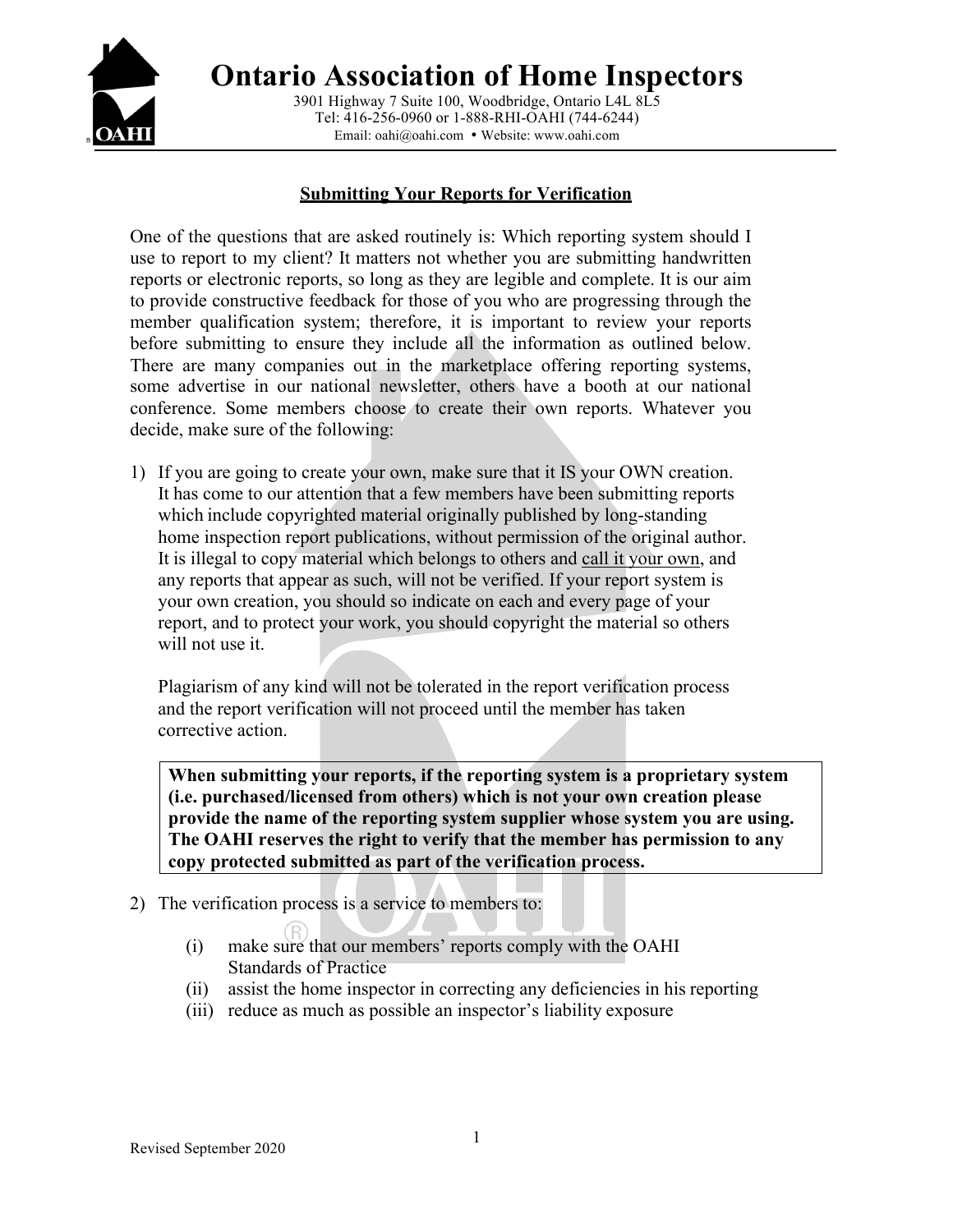

**Ontario Association of Home Inspectors** 3901 Highway 7 Suite 100, Woodbridge, Ontario L4L 8L5 Tel: 416-256-0960 or 1-888-RHI-OAHI (744-6244)

Email: oahi@oahi.com • Website: www.oahi.com

### **Submitting Your Reports for Verification**

One of the questions that are asked routinely is: Which reporting system should I use to report to my client? It matters not whether you are submitting handwritten reports or electronic reports, so long as they are legible and complete. It is our aim to provide constructive feedback for those of you who are progressing through the member qualification system; therefore, it is important to review your reports before submitting to ensure they include all the information as outlined below. There are many companies out in the marketplace offering reporting systems, some advertise in our national newsletter, others have a booth at our national conference. Some members choose to create their own reports. Whatever you decide, make sure of the following:

1) If you are going to create your own, make sure that it IS your OWN creation. It has come to our attention that a few members have been submitting reports which include copyrighted material originally published by long-standing home inspection report publications, without permission of the original author. It is illegal to copy material which belongs to others and call it your own, and any reports that appear as such, will not be verified. If your report system is your own creation, you should so indicate on each and every page of your report, and to protect your work, you should copyright the material so others will not use it.

Plagiarism of any kind will not be tolerated in the report verification process and the report verification will not proceed until the member has taken corrective action.

**When submitting your reports, if the reporting system is a proprietary system (i.e. purchased/licensed from others) which is not your own creation please provide the name of the reporting system supplier whose system you are using. The OAHI reserves the right to verify that the member has permission to any copy protected submitted as part of the verification process.** 

- 2) The verification process is a service to members to:
	- (i) make sure that our members' reports comply with the OAHI Standards of Practice
	- (ii) assist the home inspector in correcting any deficiencies in his reporting
	- (iii) reduce as much as possible an inspector's liability exposure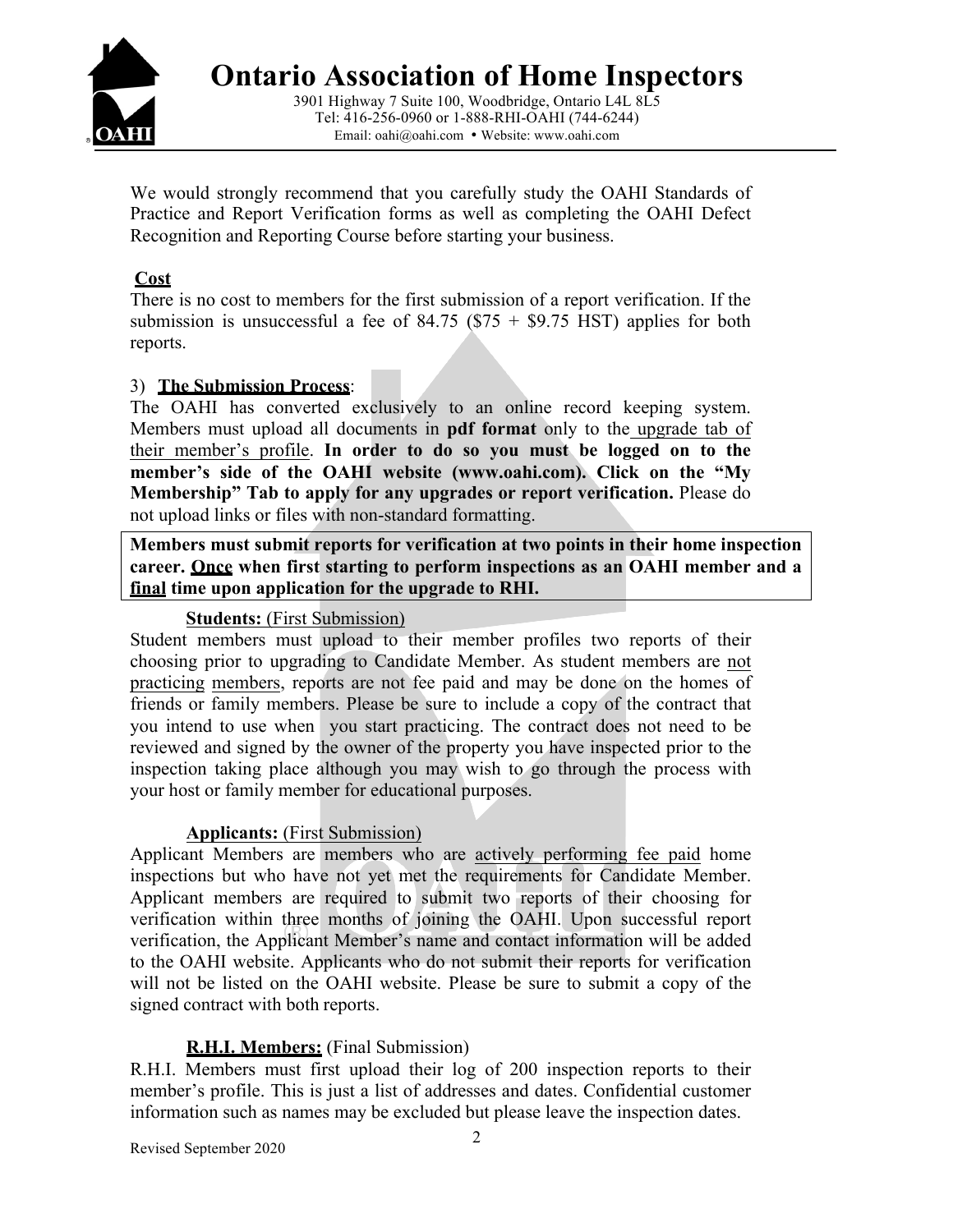

Email: oahi@oahi.com • Website: www.oahi.com

We would strongly recommend that you carefully study the OAHI Standards of Practice and Report Verification forms as well as completing the OAHI Defect Recognition and Reporting Course before starting your business.

# **Cost**

There is no cost to members for the first submission of a report verification. If the submission is unsuccessful a fee of  $84.75$  (\$75 + \$9.75 HST) applies for both reports.

## 3) **The Submission Process**:

The OAHI has converted exclusively to an online record keeping system. Members must upload all documents in **pdf format** only to the upgrade tab of their member's profile. **In order to do so you must be logged on to the member's side of the OAHI website (www.oahi.com). Click on the "My Membership" Tab to apply for any upgrades or report verification.** Please do not upload links or files with non-standard formatting.

**Members must submit reports for verification at two points in their home inspection career. Once when first starting to perform inspections as an OAHI member and a final time upon application for the upgrade to RHI.** 

# **Students:** (First Submission)

Student members must upload to their member profiles two reports of their choosing prior to upgrading to Candidate Member. As student members are not practicing members, reports are not fee paid and may be done on the homes of friends or family members. Please be sure to include a copy of the contract that you intend to use when you start practicing. The contract does not need to be reviewed and signed by the owner of the property you have inspected prior to the inspection taking place although you may wish to go through the process with your host or family member for educational purposes.

## **Applicants:** (First Submission)

Applicant Members are members who are actively performing fee paid home inspections but who have not yet met the requirements for Candidate Member. Applicant members are required to submit two reports of their choosing for verification within three months of joining the OAHI. Upon successful report verification, the Applicant Member's name and contact information will be added to the OAHI website. Applicants who do not submit their reports for verification will not be listed on the OAHI website. Please be sure to submit a copy of the signed contract with both reports.

# **R.H.I. Members:** (Final Submission)

R.H.I. Members must first upload their log of 200 inspection reports to their member's profile. This is just a list of addresses and dates. Confidential customer information such as names may be excluded but please leave the inspection dates.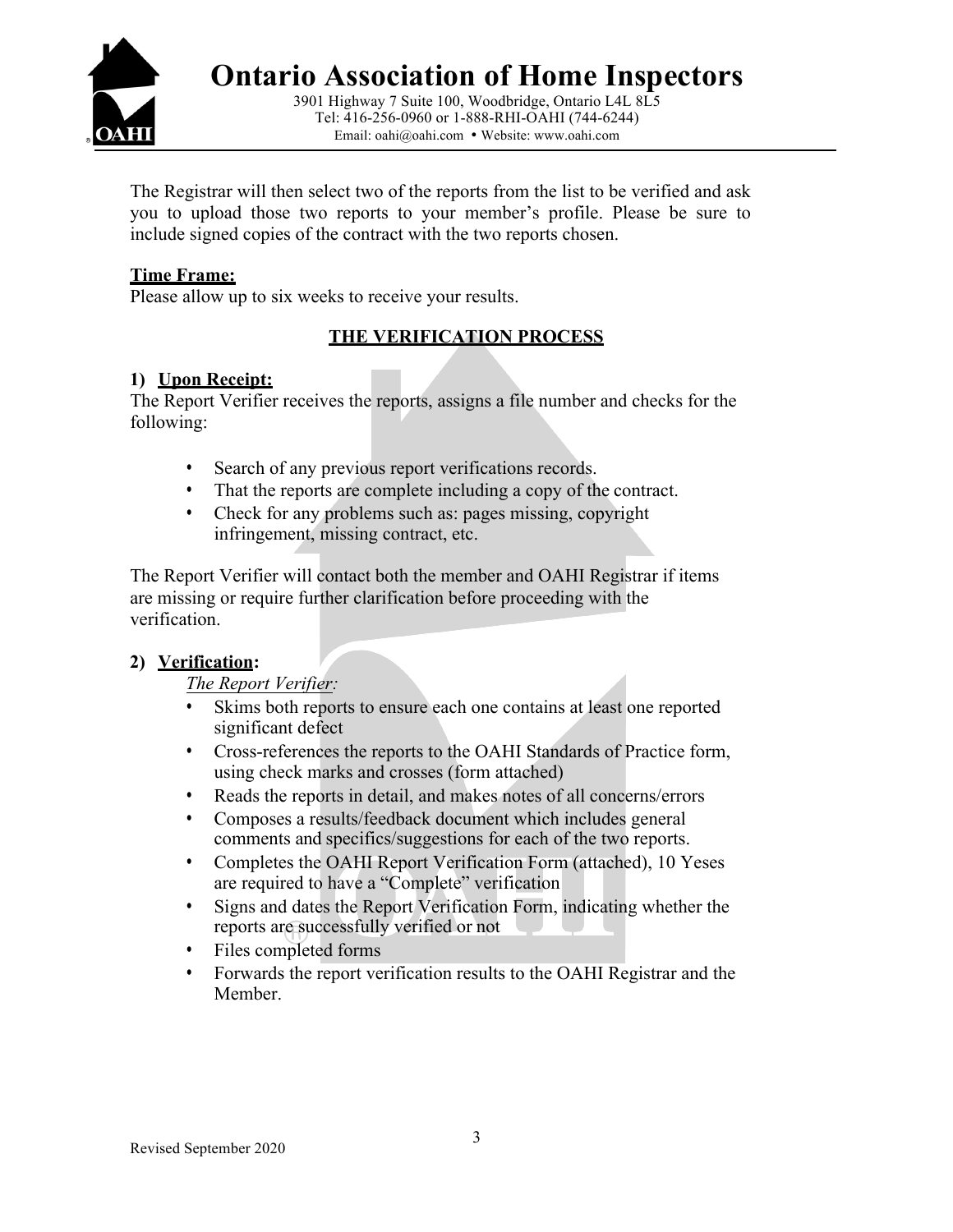

3901 Highway 7 Suite 100, Woodbridge, Ontario L4L 8L5 Tel: 416-256-0960 or 1-888-RHI-OAHI (744-6244) Email: oahi@oahi.com • Website: www.oahi.com

The Registrar will then select two of the reports from the list to be verified and ask you to upload those two reports to your member's profile. Please be sure to include signed copies of the contract with the two reports chosen.

## **Time Frame:**

Please allow up to six weeks to receive your results.

## **THE VERIFICATION PROCESS**

### **1) Upon Receipt:**

The Report Verifier receives the reports, assigns a file number and checks for the following:

- Search of any previous report verifications records.
- That the reports are complete including a copy of the contract.
- Check for any problems such as: pages missing, copyright infringement, missing contract, etc.

The Report Verifier will contact both the member and OAHI Registrar if items are missing or require further clarification before proceeding with the verification.

## **2) Verification:**

*The Report Verifier:* 

- Skims both reports to ensure each one contains at least one reported significant defect
- Cross-references the reports to the OAHI Standards of Practice form, using check marks and crosses (form attached)
- Reads the reports in detail, and makes notes of all concerns/errors
- Composes a results/feedback document which includes general comments and specifics/suggestions for each of the two reports.
- Completes the OAHI Report Verification Form (attached), 10 Yeses are required to have a "Complete" verification
- Signs and dates the Report Verification Form, indicating whether the reports are successfully verified or not
- Files completed forms
- Forwards the report verification results to the OAHI Registrar and the Member.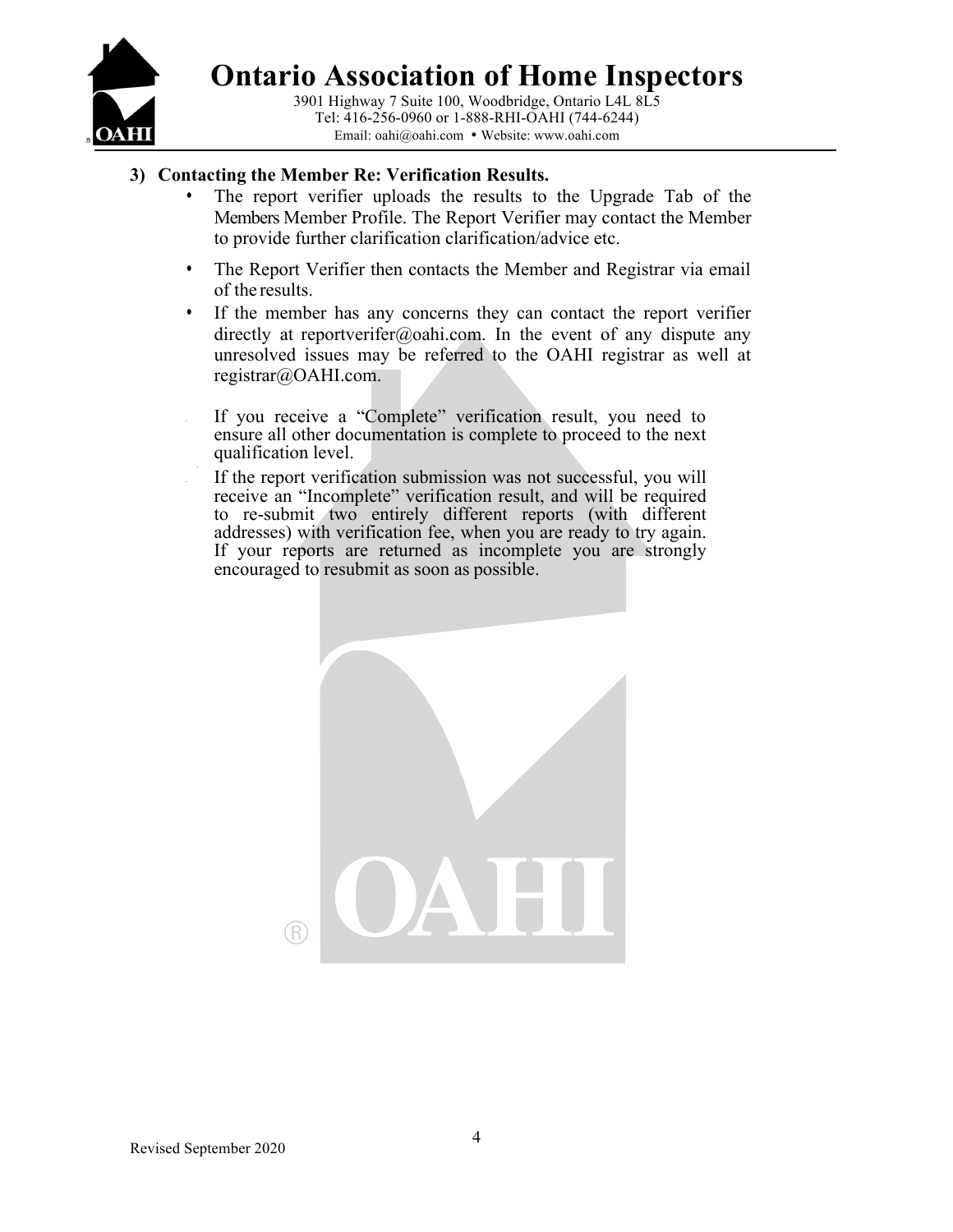

3901 Highway 7 Suite 100, Woodbridge, Ontario L4L 8L5 Tel: 416-256-0960 or 1-888-RHI-OAHI (744-6244) Email: oahi@oahi.com • Website: www.oahi.com

### **3) Contacting the Member Re: Verification Results.**

- The report verifier uploads the results to the Upgrade Tab of the Members Member Profile. The Report Verifier may contact the Member to provide further clarification clarification/advice etc.
- The Report Verifier then contacts the Member and Registrar via email of the results.
- If the member has any concerns they can contact the report verifier directly at reportverifer@oahi.com. In the event of any dispute any unresolved issues may be referred to the OAHI registrar as well at registrar@OAHI.com.

If you receive a "Complete" verification result, you need to ensure all other documentation is complete to proceed to the next qualification level.

If the report verification submission was not successful, you will receive an "Incomplete" verification result, and will be required to re-submit two entirely different reports (with different addresses) with verification fee, when you are ready to try again. If your reports are returned as incomplete you are strongly encouraged to resubmit as soon as possible.

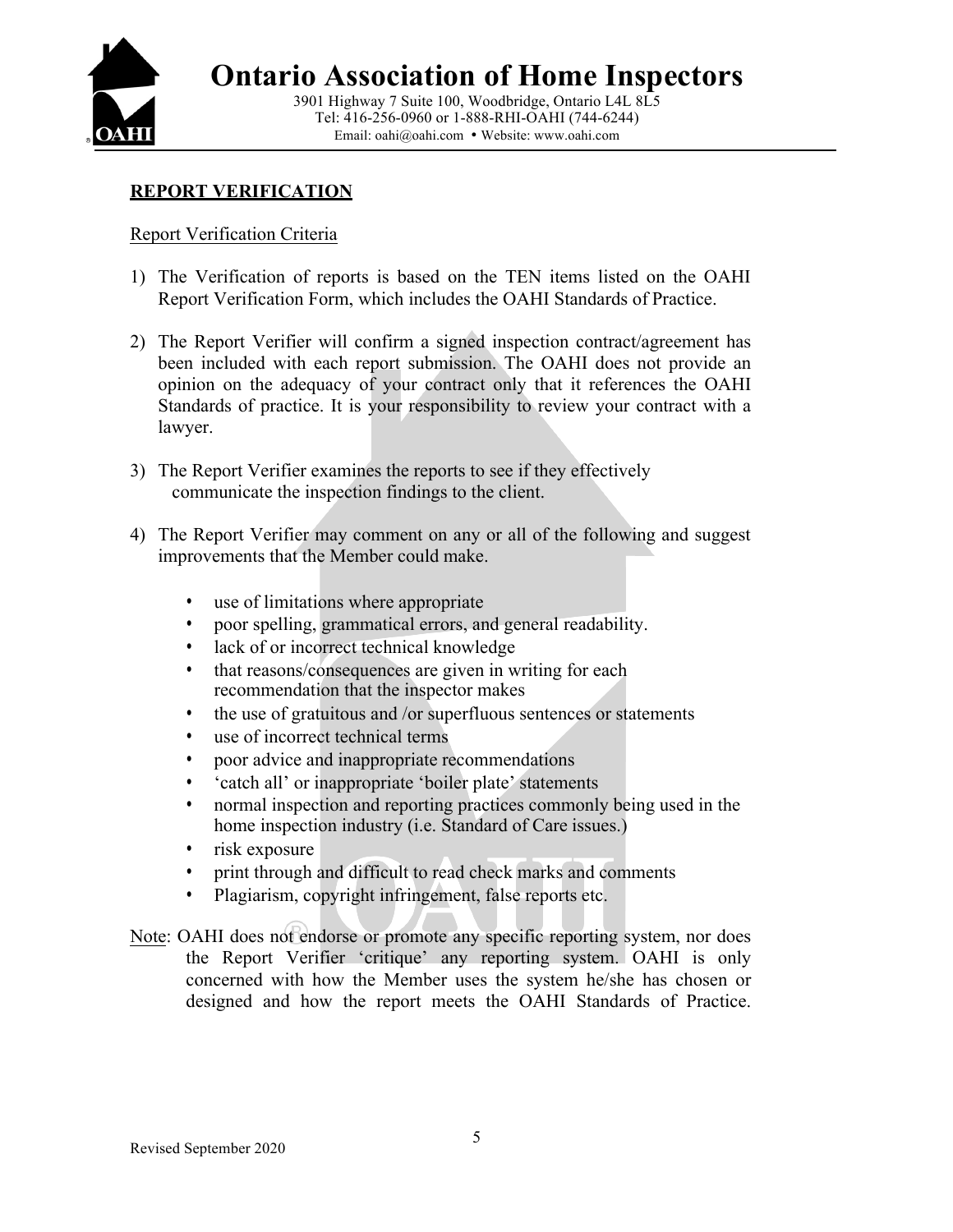

### **REPORT VERIFICATION**

### Report Verification Criteria

- 1) The Verification of reports is based on the TEN items listed on the OAHI Report Verification Form, which includes the OAHI Standards of Practice.
- 2) The Report Verifier will confirm a signed inspection contract/agreement has been included with each report submission. The OAHI does not provide an opinion on the adequacy of your contract only that it references the OAHI Standards of practice. It is your responsibility to review your contract with a lawyer.
- 3) The Report Verifier examines the reports to see if they effectively communicate the inspection findings to the client.
- 4) The Report Verifier may comment on any or all of the following and suggest improvements that the Member could make.
	- use of limitations where appropriate
	- poor spelling, grammatical errors, and general readability.
	- lack of or incorrect technical knowledge
	- that reasons/consequences are given in writing for each recommendation that the inspector makes
	- the use of gratuitous and /or superfluous sentences or statements
	- use of incorrect technical terms
	- poor advice and inappropriate recommendations
	- 'catch all' or inappropriate 'boiler plate' statements
	- normal inspection and reporting practices commonly being used in the home inspection industry (i.e. Standard of Care issues.)
	- risk exposure
	- print through and difficult to read check marks and comments
	- Plagiarism, copyright infringement, false reports etc.
- Note: OAHI does not endorse or promote any specific reporting system, nor does the Report Verifier 'critique' any reporting system. OAHI is only concerned with how the Member uses the system he/she has chosen or designed and how the report meets the OAHI Standards of Practice.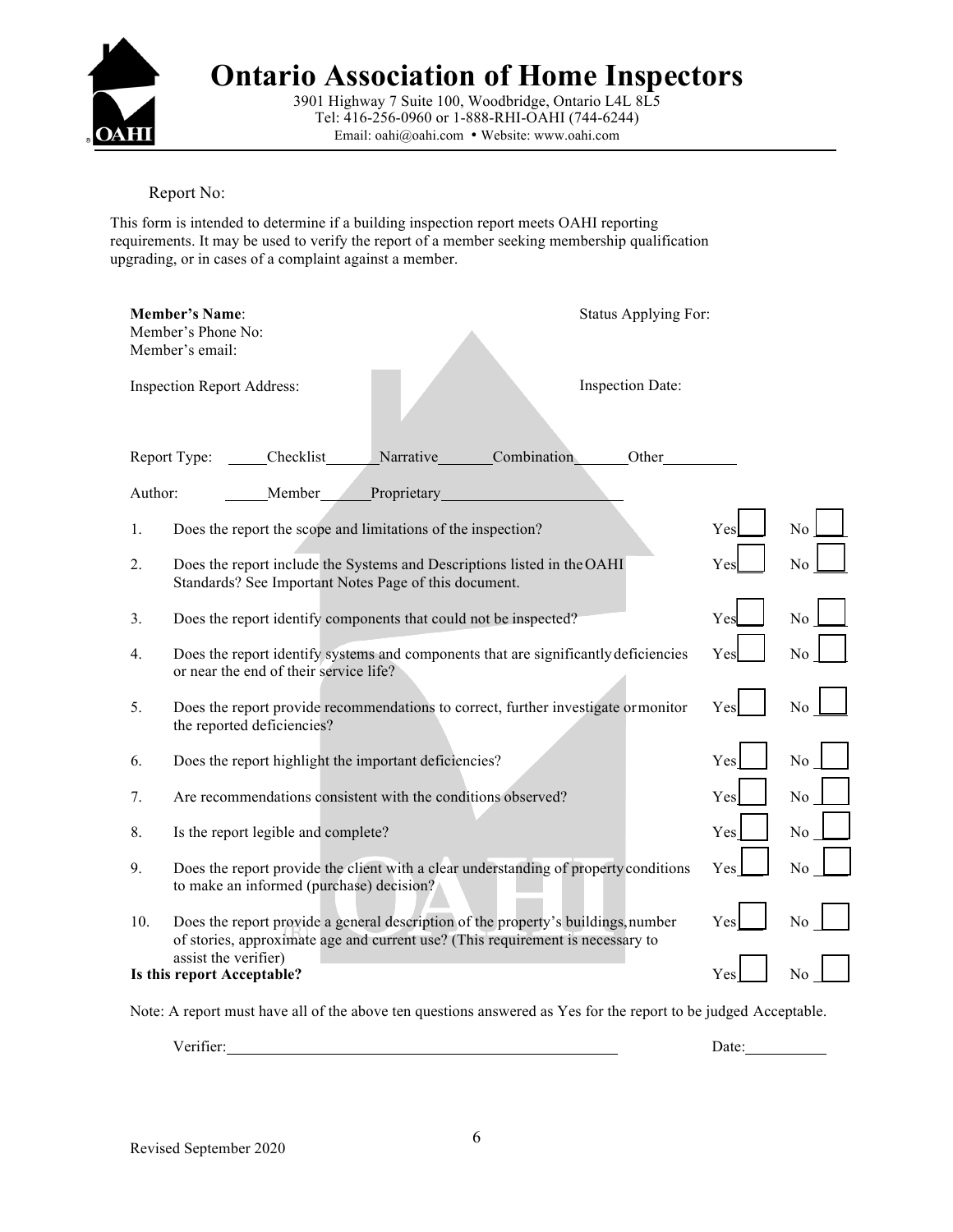

3901 Highway 7 Suite 100, Woodbridge, Ontario L4L 8L5 Tel: 416-256-0960 or 1-888-RHI-OAHI (744-6244) Email: oahi@oahi.com • Website: www.oahi.com

Report No:

This form is intended to determine if a building inspection report meets OAHI reporting requirements. It may be used to verify the report of a member seeking membership qualification upgrading, or in cases of a complaint against a member.

|                                                                | <b>Member's Name:</b><br>Status Applying For:<br>Member's Phone No:<br>Member's email:                                                                              |     |                |
|----------------------------------------------------------------|---------------------------------------------------------------------------------------------------------------------------------------------------------------------|-----|----------------|
|                                                                | <b>Inspection Report Address:</b><br>Inspection Date:                                                                                                               |     |                |
| Combination<br>Checklist<br>Narrative<br>Report Type:<br>Other |                                                                                                                                                                     |     |                |
| Proprietary<br>Author:<br>Member                               |                                                                                                                                                                     |     |                |
| 1.                                                             | Does the report the scope and limitations of the inspection?                                                                                                        | Yes | N <sub>o</sub> |
| 2.                                                             | Does the report include the Systems and Descriptions listed in the OAHI<br>Standards? See Important Notes Page of this document.                                    | Yes | N <sub>0</sub> |
| 3.                                                             | Does the report identify components that could not be inspected?                                                                                                    | Yes | N <sub>o</sub> |
| 4.                                                             | Does the report identify systems and components that are significantly deficiencies<br>or near the end of their service life?                                       | Yes | No             |
| 5.                                                             | Does the report provide recommendations to correct, further investigate ormonitor<br>the reported deficiencies?                                                     | Yes | No             |
| 6.                                                             | Does the report highlight the important deficiencies?                                                                                                               | Yes | No             |
| 7.                                                             | Are recommendations consistent with the conditions observed?                                                                                                        | Yes | No             |
| 8.                                                             | Is the report legible and complete?                                                                                                                                 | Yes | N <sub>0</sub> |
| 9.                                                             | Does the report provide the client with a clear understanding of property conditions<br>to make an informed (purchase) decision?                                    | Yes | N <sub>0</sub> |
| 10.                                                            | Does the report provide a general description of the property's buildings, number<br>of stories, approximate age and current use? (This requirement is necessary to | Yes | N <sub>0</sub> |
|                                                                | assist the verifier)<br>Is this report Acceptable?                                                                                                                  | Yes | No             |

Note: A report must have all of the above ten questions answered as Yes for the report to be judged Acceptable.

Verifier: Date: Date: Date: Date: Date: Date: Date: Date: Date: Date: Date: Date: Date: Date: Date: Date: Date: Date: Date: Date: Date: Date: Date: Date: Date: Date: Date: Date: Date: Date: Date: Date: Date: Date: Date: Da